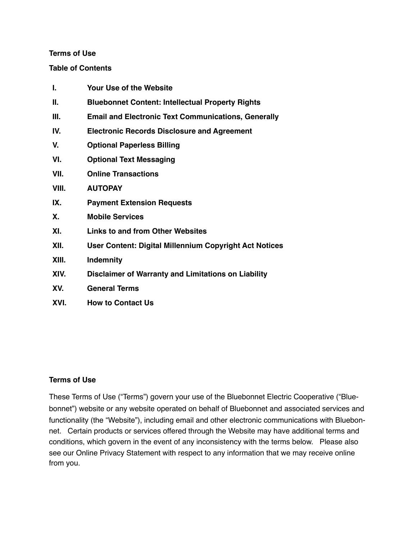#### **Terms of Use**

#### **Table of Contents**

| I.    | Your Use of the Website                                       |
|-------|---------------------------------------------------------------|
| Ш.    | <b>Bluebonnet Content: Intellectual Property Rights</b>       |
| Ш.    | <b>Email and Electronic Text Communications, Generally</b>    |
| IV.   | <b>Electronic Records Disclosure and Agreement</b>            |
| V.    | <b>Optional Paperless Billing</b>                             |
| VI.   | <b>Optional Text Messaging</b>                                |
| VII.  | <b>Online Transactions</b>                                    |
| VIII. | <b>AUTOPAY</b>                                                |
| IX.   | <b>Payment Extension Requests</b>                             |
| Χ.    | <b>Mobile Services</b>                                        |
| XI.   | <b>Links to and from Other Websites</b>                       |
| XII.  | <b>User Content: Digital Millennium Copyright Act Notices</b> |
| XIII. | <b>Indemnity</b>                                              |
| XIV.  | Disclaimer of Warranty and Limitations on Liability           |
| XV.   | <b>General Terms</b>                                          |
| XVI.  | <b>How to Contact Us</b>                                      |

# **Terms of Use**

These Terms of Use ("Terms") govern your use of the Bluebonnet Electric Cooperative ("Bluebonnet") website or any website operated on behalf of Bluebonnet and associated services and functionality (the "Website"), including email and other electronic communications with Bluebonnet. Certain products or services offered through the Website may have additional terms and conditions, which govern in the event of any inconsistency with the terms below. Please also see our Online Privacy Statement with respect to any information that we may receive online from you.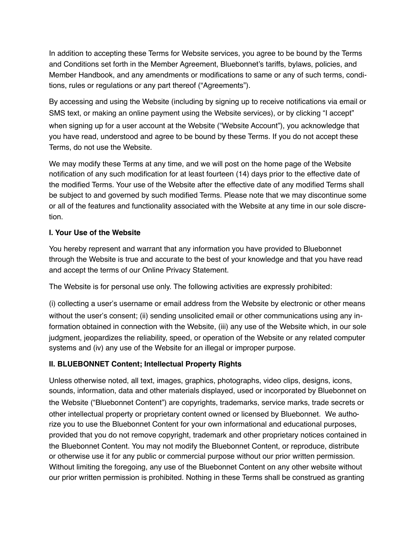In addition to accepting these Terms for Website services, you agree to be bound by the Terms and Conditions set forth in the Member Agreement, Bluebonnet's tariffs, bylaws, policies, and Member Handbook, and any amendments or modifications to same or any of such terms, conditions, rules or regulations or any part thereof ("Agreements").

By accessing and using the Website (including by signing up to receive notifications via email or SMS text, or making an online payment using the Website services), or by clicking "I accept" when signing up for a user account at the Website ("Website Account"), you acknowledge that you have read, understood and agree to be bound by these Terms. If you do not accept these Terms, do not use the Website.

We may modify these Terms at any time, and we will post on the home page of the Website notification of any such modification for at least fourteen (14) days prior to the effective date of the modified Terms. Your use of the Website after the effective date of any modified Terms shall be subject to and governed by such modified Terms. Please note that we may discontinue some or all of the features and functionality associated with the Website at any time in our sole discretion.

# **I. Your Use of the Website**

You hereby represent and warrant that any information you have provided to Bluebonnet through the Website is true and accurate to the best of your knowledge and that you have read and accept the terms of our Online Privacy Statement.

The Website is for personal use only. The following activities are expressly prohibited:

(i) collecting a user's username or email address from the Website by electronic or other means without the user's consent; (ii) sending unsolicited email or other communications using any information obtained in connection with the Website, (iii) any use of the Website which, in our sole judgment, jeopardizes the reliability, speed, or operation of the Website or any related computer systems and (iv) any use of the Website for an illegal or improper purpose.

# **II. BLUEBONNET Content; Intellectual Property Rights**

Unless otherwise noted, all text, images, graphics, photographs, video clips, designs, icons, sounds, information, data and other materials displayed, used or incorporated by Bluebonnet on the Website ("Bluebonnet Content") are copyrights, trademarks, service marks, trade secrets or other intellectual property or proprietary content owned or licensed by Bluebonnet. We authorize you to use the Bluebonnet Content for your own informational and educational purposes, provided that you do not remove copyright, trademark and other proprietary notices contained in the Bluebonnet Content. You may not modify the Bluebonnet Content, or reproduce, distribute or otherwise use it for any public or commercial purpose without our prior written permission. Without limiting the foregoing, any use of the Bluebonnet Content on any other website without our prior written permission is prohibited. Nothing in these Terms shall be construed as granting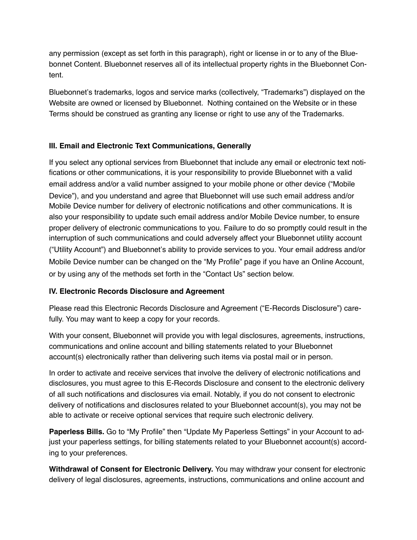any permission (except as set forth in this paragraph), right or license in or to any of the Bluebonnet Content. Bluebonnet reserves all of its intellectual property rights in the Bluebonnet Content.

Bluebonnet's trademarks, logos and service marks (collectively, "Trademarks") displayed on the Website are owned or licensed by Bluebonnet. Nothing contained on the Website or in these Terms should be construed as granting any license or right to use any of the Trademarks.

# **III. Email and Electronic Text Communications, Generally**

If you select any optional services from Bluebonnet that include any email or electronic text notifications or other communications, it is your responsibility to provide Bluebonnet with a valid email address and/or a valid number assigned to your mobile phone or other device ("Mobile Device"), and you understand and agree that Bluebonnet will use such email address and/or Mobile Device number for delivery of electronic notifications and other communications. It is also your responsibility to update such email address and/or Mobile Device number, to ensure proper delivery of electronic communications to you. Failure to do so promptly could result in the interruption of such communications and could adversely affect your Bluebonnet utility account ("Utility Account") and Bluebonnet's ability to provide services to you. Your email address and/or Mobile Device number can be changed on the "My Profile" page if you have an Online Account, or by using any of the methods set forth in the "Contact Us" section below.

# **IV. Electronic Records Disclosure and Agreement**

Please read this Electronic Records Disclosure and Agreement ("E-Records Disclosure") carefully. You may want to keep a copy for your records.

With your consent, Bluebonnet will provide you with legal disclosures, agreements, instructions, communications and online account and billing statements related to your Bluebonnet account(s) electronically rather than delivering such items via postal mail or in person.

In order to activate and receive services that involve the delivery of electronic notifications and disclosures, you must agree to this E-Records Disclosure and consent to the electronic delivery of all such notifications and disclosures via email. Notably, if you do not consent to electronic delivery of notifications and disclosures related to your Bluebonnet account(s), you may not be able to activate or receive optional services that require such electronic delivery.

**Paperless Bills.** Go to "My Profile" then "Update My Paperless Settings" in your Account to adjust your paperless settings, for billing statements related to your Bluebonnet account(s) according to your preferences.

**Withdrawal of Consent for Electronic Delivery.** You may withdraw your consent for electronic delivery of legal disclosures, agreements, instructions, communications and online account and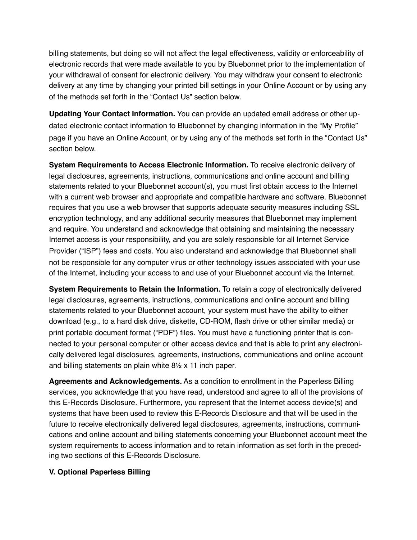billing statements, but doing so will not affect the legal effectiveness, validity or enforceability of electronic records that were made available to you by Bluebonnet prior to the implementation of your withdrawal of consent for electronic delivery. You may withdraw your consent to electronic delivery at any time by changing your printed bill settings in your Online Account or by using any of the methods set forth in the "Contact Us" section below.

**Updating Your Contact Information.** You can provide an updated email address or other updated electronic contact information to Bluebonnet by changing information in the "My Profile" page if you have an Online Account, or by using any of the methods set forth in the "Contact Us" section below.

**System Requirements to Access Electronic Information.** To receive electronic delivery of legal disclosures, agreements, instructions, communications and online account and billing statements related to your Bluebonnet account(s), you must first obtain access to the Internet with a current web browser and appropriate and compatible hardware and software. Bluebonnet requires that you use a web browser that supports adequate security measures including SSL encryption technology, and any additional security measures that Bluebonnet may implement and require. You understand and acknowledge that obtaining and maintaining the necessary Internet access is your responsibility, and you are solely responsible for all Internet Service Provider ("ISP") fees and costs. You also understand and acknowledge that Bluebonnet shall not be responsible for any computer virus or other technology issues associated with your use of the Internet, including your access to and use of your Bluebonnet account via the Internet.

**System Requirements to Retain the Information.** To retain a copy of electronically delivered legal disclosures, agreements, instructions, communications and online account and billing statements related to your Bluebonnet account, your system must have the ability to either download (e.g., to a hard disk drive, diskette, CD-ROM, flash drive or other similar media) or print portable document format ("PDF") files. You must have a functioning printer that is connected to your personal computer or other access device and that is able to print any electronically delivered legal disclosures, agreements, instructions, communications and online account and billing statements on plain white 8½ x 11 inch paper.

**Agreements and Acknowledgements.** As a condition to enrollment in the Paperless Billing services, you acknowledge that you have read, understood and agree to all of the provisions of this E-Records Disclosure. Furthermore, you represent that the Internet access device(s) and systems that have been used to review this E-Records Disclosure and that will be used in the future to receive electronically delivered legal disclosures, agreements, instructions, communications and online account and billing statements concerning your Bluebonnet account meet the system requirements to access information and to retain information as set forth in the preceding two sections of this E-Records Disclosure.

### **V. Optional Paperless Billing**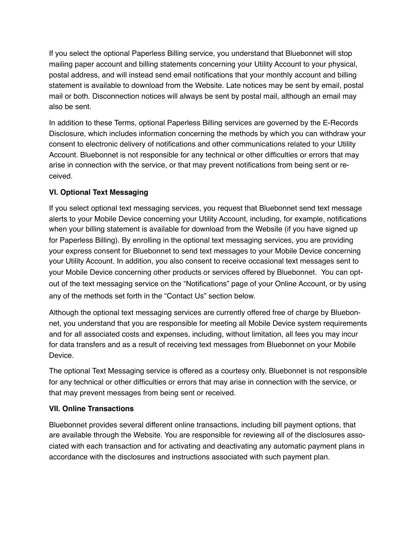If you select the optional Paperless Billing service, you understand that Bluebonnet will stop mailing paper account and billing statements concerning your Utility Account to your physical, postal address, and will instead send email notifications that your monthly account and billing statement is available to download from the Website. Late notices may be sent by email, postal mail or both. Disconnection notices will always be sent by postal mail, although an email may also be sent.

In addition to these Terms, optional Paperless Billing services are governed by the E-Records Disclosure, which includes information concerning the methods by which you can withdraw your consent to electronic delivery of notifications and other communications related to your Utility Account. Bluebonnet is not responsible for any technical or other difficulties or errors that may arise in connection with the service, or that may prevent notifications from being sent or received.

# **VI. Optional Text Messaging**

If you select optional text messaging services, you request that Bluebonnet send text message alerts to your Mobile Device concerning your Utility Account, including, for example, notifications when your billing statement is available for download from the Website (if you have signed up for Paperless Billing). By enrolling in the optional text messaging services, you are providing your express consent for Bluebonnet to send text messages to your Mobile Device concerning your Utility Account. In addition, you also consent to receive occasional text messages sent to your Mobile Device concerning other products or services offered by Bluebonnet. You can optout of the text messaging service on the "Notifications" page of your Online Account, or by using any of the methods set forth in the "Contact Us" section below.

Although the optional text messaging services are currently offered free of charge by Bluebonnet, you understand that you are responsible for meeting all Mobile Device system requirements and for all associated costs and expenses, including, without limitation, all fees you may incur for data transfers and as a result of receiving text messages from Bluebonnet on your Mobile Device.

The optional Text Messaging service is offered as a courtesy only. Bluebonnet is not responsible for any technical or other difficulties or errors that may arise in connection with the service, or that may prevent messages from being sent or received.

# **VII. Online Transactions**

Bluebonnet provides several different online transactions, including bill payment options, that are available through the Website. You are responsible for reviewing all of the disclosures associated with each transaction and for activating and deactivating any automatic payment plans in accordance with the disclosures and instructions associated with such payment plan.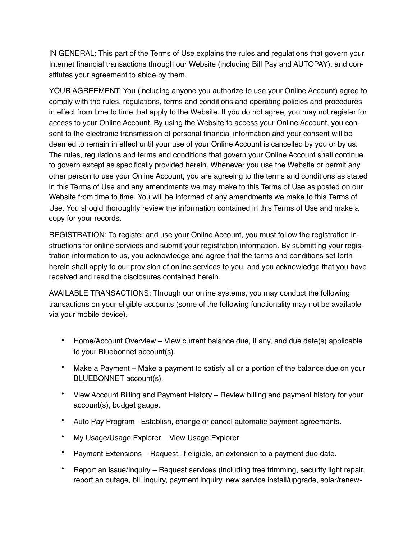IN GENERAL: This part of the Terms of Use explains the rules and regulations that govern your Internet financial transactions through our Website (including Bill Pay and AUTOPAY), and constitutes your agreement to abide by them.

YOUR AGREEMENT: You (including anyone you authorize to use your Online Account) agree to comply with the rules, regulations, terms and conditions and operating policies and procedures in effect from time to time that apply to the Website. If you do not agree, you may not register for access to your Online Account. By using the Website to access your Online Account, you consent to the electronic transmission of personal financial information and your consent will be deemed to remain in effect until your use of your Online Account is cancelled by you or by us. The rules, regulations and terms and conditions that govern your Online Account shall continue to govern except as specifically provided herein. Whenever you use the Website or permit any other person to use your Online Account, you are agreeing to the terms and conditions as stated in this Terms of Use and any amendments we may make to this Terms of Use as posted on our Website from time to time. You will be informed of any amendments we make to this Terms of Use. You should thoroughly review the information contained in this Terms of Use and make a copy for your records.

REGISTRATION: To register and use your Online Account, you must follow the registration instructions for online services and submit your registration information. By submitting your registration information to us, you acknowledge and agree that the terms and conditions set forth herein shall apply to our provision of online services to you, and you acknowledge that you have received and read the disclosures contained herein.

AVAILABLE TRANSACTIONS: Through our online systems, you may conduct the following transactions on your eligible accounts (some of the following functionality may not be available via your mobile device).

- Home/Account Overview View current balance due, if any, and due date(s) applicable to your Bluebonnet account(s).
- Make a Payment Make a payment to satisfy all or a portion of the balance due on your BLUEBONNET account(s).
- View Account Billing and Payment History Review billing and payment history for your account(s), budget gauge.
- Auto Pay Program– Establish, change or cancel automatic payment agreements.
- My Usage/Usage Explorer View Usage Explorer
- Payment Extensions Request, if eligible, an extension to a payment due date.
- Report an issue/Inquiry Request services (including tree trimming, security light repair, report an outage, bill inquiry, payment inquiry, new service install/upgrade, solar/renew-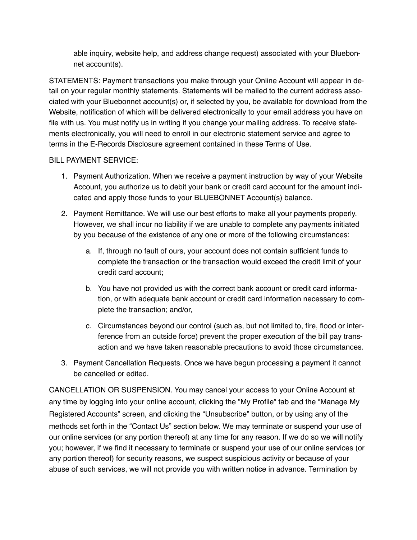able inquiry, website help, and address change request) associated with your Bluebonnet account(s).

STATEMENTS: Payment transactions you make through your Online Account will appear in detail on your regular monthly statements. Statements will be mailed to the current address associated with your Bluebonnet account(s) or, if selected by you, be available for download from the Website, notification of which will be delivered electronically to your email address you have on file with us. You must notify us in writing if you change your mailing address. To receive statements electronically, you will need to enroll in our electronic statement service and agree to terms in the E-Records Disclosure agreement contained in these Terms of Use.

### BILL PAYMENT SERVICE:

- 1. Payment Authorization. When we receive a payment instruction by way of your Website Account, you authorize us to debit your bank or credit card account for the amount indicated and apply those funds to your BLUEBONNET Account(s) balance.
- 2. Payment Remittance. We will use our best efforts to make all your payments properly. However, we shall incur no liability if we are unable to complete any payments initiated by you because of the existence of any one or more of the following circumstances:
	- a. If, through no fault of ours, your account does not contain sufficient funds to complete the transaction or the transaction would exceed the credit limit of your credit card account;
	- b. You have not provided us with the correct bank account or credit card information, or with adequate bank account or credit card information necessary to complete the transaction; and/or,
	- c. Circumstances beyond our control (such as, but not limited to, fire, flood or interference from an outside force) prevent the proper execution of the bill pay transaction and we have taken reasonable precautions to avoid those circumstances.
- 3. Payment Cancellation Requests. Once we have begun processing a payment it cannot be cancelled or edited.

CANCELLATION OR SUSPENSION. You may cancel your access to your Online Account at any time by logging into your online account, clicking the "My Profile" tab and the "Manage My Registered Accounts" screen, and clicking the "Unsubscribe" button, or by using any of the methods set forth in the "Contact Us" section below. We may terminate or suspend your use of our online services (or any portion thereof) at any time for any reason. If we do so we will notify you; however, if we find it necessary to terminate or suspend your use of our online services (or any portion thereof) for security reasons, we suspect suspicious activity or because of your abuse of such services, we will not provide you with written notice in advance. Termination by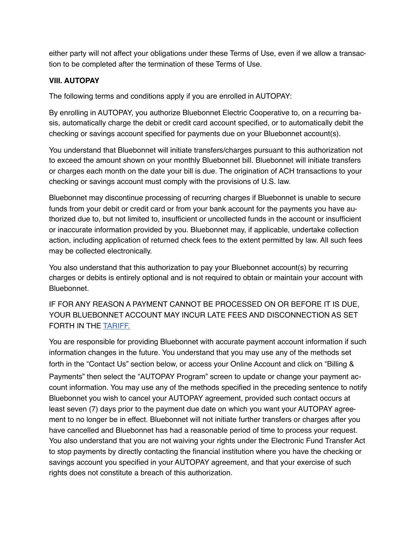either party will not affect your obligations under these Terms of Use, even if we allow a transaction to be completed after the termination of these Terms of Use.

# **VIII. AUTOPAY**

The following terms and conditions apply if you are enrolled in AUTOPAY:

By enrolling in AUTOPAY, you authorize Bluebonnet Electric Cooperative to, on a recurring basis, automatically charge the debit or credit card account specified, or to automatically debit the checking or savings account specified for payments due on your Bluebonnet account(s).

You understand that Bluebonnet will initiate transfers/charges pursuant to this authorization not to exceed the amount shown on your monthly Bluebonnet bill. Bluebonnet will initiate transfers or charges each month on the date your bill is due. The origination of ACH transactions to your checking or savings account must comply with the provisions of U.S. law.

Bluebonnet may discontinue processing of recurring charges if Bluebonnet is unable to secure funds from your debit or credit card or from your bank account for the payments you have authorized due to, but not limited to, insufficient or uncollected funds in the account or insufficient or inaccurate information provided by you. Bluebonnet may, if applicable, undertake collection action, including application of returned check fees to the extent permitted by law. All such fees may be collected electronically.

You also understand that this authorization to pay your Bluebonnet account(s) by recurring charges or debits is entirely optional and is not required to obtain or maintain your account with **Bluebonnet** 

IF FOR ANY REASON A PAYMENT CANNOT BE PROCESSED ON OR BEFORE IT IS DUE, YOUR BLUEBONNET ACCOUNT MAY INCUR LATE FEES AND DISCONNECTION AS SET FORTH IN THE [TARIFF.](https://www.bluebonnetelectric.coop/About/Reports-Forms%2523BL)

You are responsible for providing Bluebonnet with accurate payment account information if such information changes in the future. You understand that you may use any of the methods set forth in the "Contact Us" section below, or access your Online Account and click on "Billing & Payments" then select the "AUTOPAY Program" screen to update or change your payment account information. You may use any of the methods specified in the preceding sentence to notify Bluebonnet you wish to cancel your AUTOPAY agreement, provided such contact occurs at least seven (7) days prior to the payment due date on which you want your AUTOPAY agreement to no longer be in effect. Bluebonnet will not initiate further transfers or charges after you have cancelled and Bluebonnet has had a reasonable period of time to process your request. You also understand that you are not waiving your rights under the Electronic Fund Transfer Act to stop payments by directly contacting the financial institution where you have the checking or savings account you specified in your AUTOPAY agreement, and that your exercise of such rights does not constitute a breach of this authorization.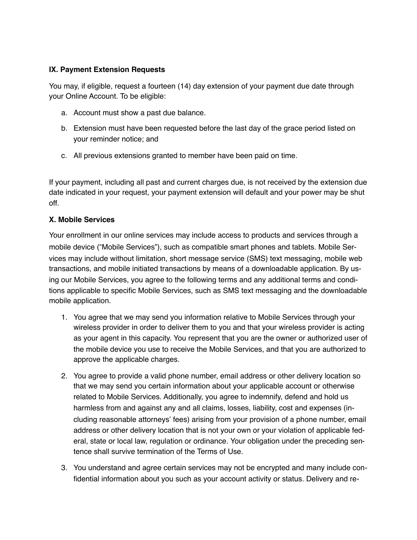### **IX. Payment Extension Requests**

You may, if eligible, request a fourteen (14) day extension of your payment due date through your Online Account. To be eligible:

- a. Account must show a past due balance.
- b. Extension must have been requested before the last day of the grace period listed on your reminder notice; and
- c. All previous extensions granted to member have been paid on time.

If your payment, including all past and current charges due, is not received by the extension due date indicated in your request, your payment extension will default and your power may be shut off.

### **X. Mobile Services**

Your enrollment in our online services may include access to products and services through a mobile device ("Mobile Services"), such as compatible smart phones and tablets. Mobile Services may include without limitation, short message service (SMS) text messaging, mobile web transactions, and mobile initiated transactions by means of a downloadable application. By using our Mobile Services, you agree to the following terms and any additional terms and conditions applicable to specific Mobile Services, such as SMS text messaging and the downloadable mobile application.

- 1. You agree that we may send you information relative to Mobile Services through your wireless provider in order to deliver them to you and that your wireless provider is acting as your agent in this capacity. You represent that you are the owner or authorized user of the mobile device you use to receive the Mobile Services, and that you are authorized to approve the applicable charges.
- 2. You agree to provide a valid phone number, email address or other delivery location so that we may send you certain information about your applicable account or otherwise related to Mobile Services. Additionally, you agree to indemnify, defend and hold us harmless from and against any and all claims, losses, liability, cost and expenses (including reasonable attorneys' fees) arising from your provision of a phone number, email address or other delivery location that is not your own or your violation of applicable federal, state or local law, regulation or ordinance. Your obligation under the preceding sentence shall survive termination of the Terms of Use.
- 3. You understand and agree certain services may not be encrypted and many include confidential information about you such as your account activity or status. Delivery and re-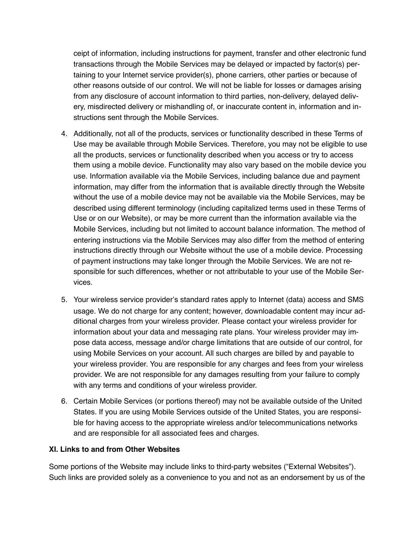ceipt of information, including instructions for payment, transfer and other electronic fund transactions through the Mobile Services may be delayed or impacted by factor(s) pertaining to your Internet service provider(s), phone carriers, other parties or because of other reasons outside of our control. We will not be liable for losses or damages arising from any disclosure of account information to third parties, non-delivery, delayed delivery, misdirected delivery or mishandling of, or inaccurate content in, information and instructions sent through the Mobile Services.

- 4. Additionally, not all of the products, services or functionality described in these Terms of Use may be available through Mobile Services. Therefore, you may not be eligible to use all the products, services or functionality described when you access or try to access them using a mobile device. Functionality may also vary based on the mobile device you use. Information available via the Mobile Services, including balance due and payment information, may differ from the information that is available directly through the Website without the use of a mobile device may not be available via the Mobile Services, may be described using different terminology (including capitalized terms used in these Terms of Use or on our Website), or may be more current than the information available via the Mobile Services, including but not limited to account balance information. The method of entering instructions via the Mobile Services may also differ from the method of entering instructions directly through our Website without the use of a mobile device. Processing of payment instructions may take longer through the Mobile Services. We are not responsible for such differences, whether or not attributable to your use of the Mobile Services.
- 5. Your wireless service provider's standard rates apply to Internet (data) access and SMS usage. We do not charge for any content; however, downloadable content may incur additional charges from your wireless provider. Please contact your wireless provider for information about your data and messaging rate plans. Your wireless provider may impose data access, message and/or charge limitations that are outside of our control, for using Mobile Services on your account. All such charges are billed by and payable to your wireless provider. You are responsible for any charges and fees from your wireless provider. We are not responsible for any damages resulting from your failure to comply with any terms and conditions of your wireless provider.
- 6. Certain Mobile Services (or portions thereof) may not be available outside of the United States. If you are using Mobile Services outside of the United States, you are responsible for having access to the appropriate wireless and/or telecommunications networks and are responsible for all associated fees and charges.

### **XI. Links to and from Other Websites**

Some portions of the Website may include links to third-party websites ("External Websites"). Such links are provided solely as a convenience to you and not as an endorsement by us of the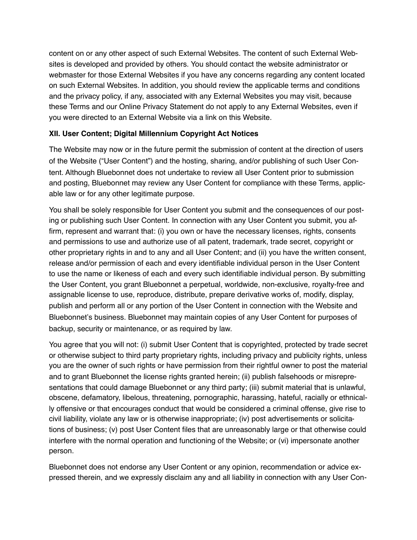content on or any other aspect of such External Websites. The content of such External Websites is developed and provided by others. You should contact the website administrator or webmaster for those External Websites if you have any concerns regarding any content located on such External Websites. In addition, you should review the applicable terms and conditions and the privacy policy, if any, associated with any External Websites you may visit, because these Terms and our Online Privacy Statement do not apply to any External Websites, even if you were directed to an External Website via a link on this Website.

# **XII. User Content; Digital Millennium Copyright Act Notices**

The Website may now or in the future permit the submission of content at the direction of users of the Website ("User Content") and the hosting, sharing, and/or publishing of such User Content. Although Bluebonnet does not undertake to review all User Content prior to submission and posting, Bluebonnet may review any User Content for compliance with these Terms, applicable law or for any other legitimate purpose.

You shall be solely responsible for User Content you submit and the consequences of our posting or publishing such User Content. In connection with any User Content you submit, you affirm, represent and warrant that: (i) you own or have the necessary licenses, rights, consents and permissions to use and authorize use of all patent, trademark, trade secret, copyright or other proprietary rights in and to any and all User Content; and (ii) you have the written consent, release and/or permission of each and every identifiable individual person in the User Content to use the name or likeness of each and every such identifiable individual person. By submitting the User Content, you grant Bluebonnet a perpetual, worldwide, non-exclusive, royalty-free and assignable license to use, reproduce, distribute, prepare derivative works of, modify, display, publish and perform all or any portion of the User Content in connection with the Website and Bluebonnet's business. Bluebonnet may maintain copies of any User Content for purposes of backup, security or maintenance, or as required by law.

You agree that you will not: (i) submit User Content that is copyrighted, protected by trade secret or otherwise subject to third party proprietary rights, including privacy and publicity rights, unless you are the owner of such rights or have permission from their rightful owner to post the material and to grant Bluebonnet the license rights granted herein; (ii) publish falsehoods or misrepresentations that could damage Bluebonnet or any third party; (iii) submit material that is unlawful, obscene, defamatory, libelous, threatening, pornographic, harassing, hateful, racially or ethnically offensive or that encourages conduct that would be considered a criminal offense, give rise to civil liability, violate any law or is otherwise inappropriate; (iv) post advertisements or solicitations of business; (v) post User Content files that are unreasonably large or that otherwise could interfere with the normal operation and functioning of the Website; or (vi) impersonate another person.

Bluebonnet does not endorse any User Content or any opinion, recommendation or advice expressed therein, and we expressly disclaim any and all liability in connection with any User Con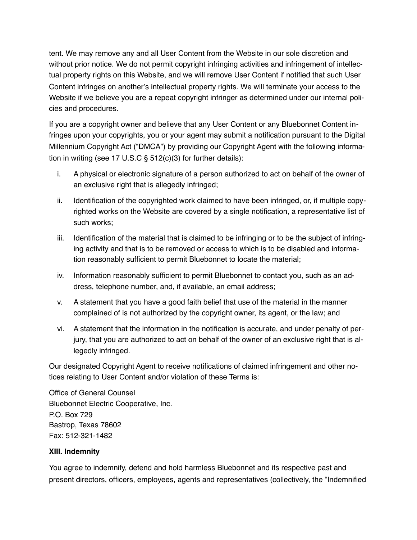tent. We may remove any and all User Content from the Website in our sole discretion and without prior notice. We do not permit copyright infringing activities and infringement of intellectual property rights on this Website, and we will remove User Content if notified that such User Content infringes on another's intellectual property rights. We will terminate your access to the Website if we believe you are a repeat copyright infringer as determined under our internal policies and procedures.

If you are a copyright owner and believe that any User Content or any Bluebonnet Content infringes upon your copyrights, you or your agent may submit a notification pursuant to the Digital Millennium Copyright Act ("DMCA") by providing our Copyright Agent with the following information in writing (see 17 U.S.C § 512(c)(3) for further details):

- i. A physical or electronic signature of a person authorized to act on behalf of the owner of an exclusive right that is allegedly infringed;
- ii. Identification of the copyrighted work claimed to have been infringed, or, if multiple copyrighted works on the Website are covered by a single notification, a representative list of such works;
- iii. Identification of the material that is claimed to be infringing or to be the subject of infringing activity and that is to be removed or access to which is to be disabled and information reasonably sufficient to permit Bluebonnet to locate the material;
- iv. Information reasonably sufficient to permit Bluebonnet to contact you, such as an address, telephone number, and, if available, an email address;
- v. A statement that you have a good faith belief that use of the material in the manner complained of is not authorized by the copyright owner, its agent, or the law; and
- vi. A statement that the information in the notification is accurate, and under penalty of perjury, that you are authorized to act on behalf of the owner of an exclusive right that is allegedly infringed.

Our designated Copyright Agent to receive notifications of claimed infringement and other notices relating to User Content and/or violation of these Terms is:

Office of General Counsel Bluebonnet Electric Cooperative, Inc. P.O. Box 729 Bastrop, Texas 78602 Fax: 512-321-1482

# **XIII. Indemnity**

You agree to indemnify, defend and hold harmless Bluebonnet and its respective past and present directors, officers, employees, agents and representatives (collectively, the "Indemnified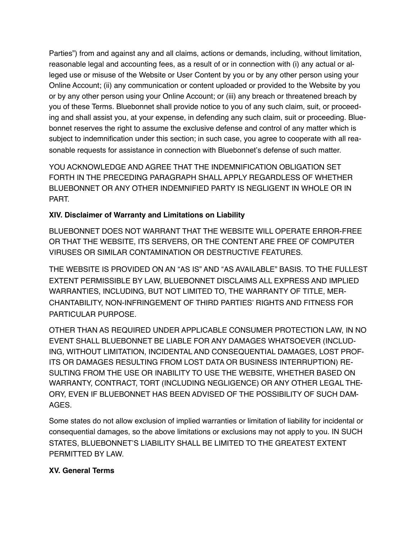Parties") from and against any and all claims, actions or demands, including, without limitation, reasonable legal and accounting fees, as a result of or in connection with (i) any actual or alleged use or misuse of the Website or User Content by you or by any other person using your Online Account; (ii) any communication or content uploaded or provided to the Website by you or by any other person using your Online Account; or (iii) any breach or threatened breach by you of these Terms. Bluebonnet shall provide notice to you of any such claim, suit, or proceeding and shall assist you, at your expense, in defending any such claim, suit or proceeding. Bluebonnet reserves the right to assume the exclusive defense and control of any matter which is subject to indemnification under this section; in such case, you agree to cooperate with all reasonable requests for assistance in connection with Bluebonnet's defense of such matter.

YOU ACKNOWLEDGE AND AGREE THAT THE INDEMNIFICATION OBLIGATION SET FORTH IN THE PRECEDING PARAGRAPH SHALL APPLY REGARDLESS OF WHETHER BLUEBONNET OR ANY OTHER INDEMNIFIED PARTY IS NEGLIGENT IN WHOLE OR IN PART.

# **XIV. Disclaimer of Warranty and Limitations on Liability**

BLUEBONNET DOES NOT WARRANT THAT THE WEBSITE WILL OPERATE ERROR-FREE OR THAT THE WEBSITE, ITS SERVERS, OR THE CONTENT ARE FREE OF COMPUTER VIRUSES OR SIMILAR CONTAMINATION OR DESTRUCTIVE FEATURES.

THE WEBSITE IS PROVIDED ON AN "AS IS" AND "AS AVAILABLE" BASIS. TO THE FULLEST EXTENT PERMISSIBLE BY LAW, BLUEBONNET DISCLAIMS ALL EXPRESS AND IMPLIED WARRANTIES, INCLUDING, BUT NOT LIMITED TO, THE WARRANTY OF TITLE, MER-CHANTABILITY, NON-INFRINGEMENT OF THIRD PARTIES' RIGHTS AND FITNESS FOR PARTICULAR PURPOSE.

OTHER THAN AS REQUIRED UNDER APPLICABLE CONSUMER PROTECTION LAW, IN NO EVENT SHALL BLUEBONNET BE LIABLE FOR ANY DAMAGES WHATSOEVER (INCLUD-ING, WITHOUT LIMITATION, INCIDENTAL AND CONSEQUENTIAL DAMAGES, LOST PROF-ITS OR DAMAGES RESULTING FROM LOST DATA OR BUSINESS INTERRUPTION) RE-SULTING FROM THE USE OR INABILITY TO USE THE WEBSITE, WHETHER BASED ON WARRANTY, CONTRACT, TORT (INCLUDING NEGLIGENCE) OR ANY OTHER LEGAL THE-ORY, EVEN IF BLUEBONNET HAS BEEN ADVISED OF THE POSSIBILITY OF SUCH DAM-AGES.

Some states do not allow exclusion of implied warranties or limitation of liability for incidental or consequential damages, so the above limitations or exclusions may not apply to you. IN SUCH STATES, BLUEBONNET'S LIABILITY SHALL BE LIMITED TO THE GREATEST EXTENT PERMITTED BY LAW.

# **XV. General Terms**